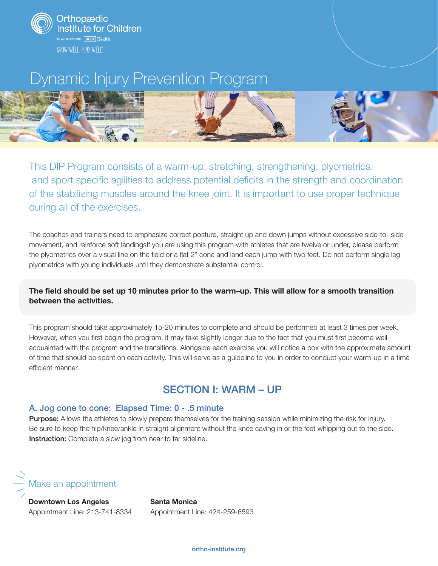





This DIP Program consists of a warm-up, stretching, strengthening, plyometrics, and sport specific agilities to address potential deficits in the strength and coordination of the stabilizing muscles around the knee joint. It is important to use proper technique during all of the exercises.

The coaches and trainers need to emphasize correct posture, straight up and down jumps without excessive side-to- side movement, and reinforce soft landingsIf you are using this program with athletes that are twelve or under, please perform the plyometrics over a visual line on the field or a flat 2" cone and land each jump with two feet. Do not perform single leg plyometrics with young individuals until they demonstrate substantial control.

#### The field should be set up 10 minutes prior to the warm–up. This will allow for a smooth transition between the activities.

This program should take approximately 15-20 minutes to complete and should be performed at least 3 times per week. However, when you first begin the program, it may take slightly longer due to the fact that you must first become well acquainted with the program and the transitions. Alongside each exercise you will notice a box with the approximate amount of time that should be spent on each activity. This will serve as a guideline to you in order to conduct your warm-up in a time efficient manner.

### SECTION I: WARM – UP

#### A. Jog cone to cone: Elapsed Time: 0 - .5 minute

Purpose: Allows the athletes to slowly prepare themselves for the training session while minimizing the risk for injury. Be sure to keep the hip/knee/ankle in straight alignment without the knee caving in or the feet whipping out to the side. Instruction: Complete a slow jog from near to far sideline.



Downtown Los Angeles Appointment Line: 213-741-8334 Santa Monica Appointment Line: 424-259-6593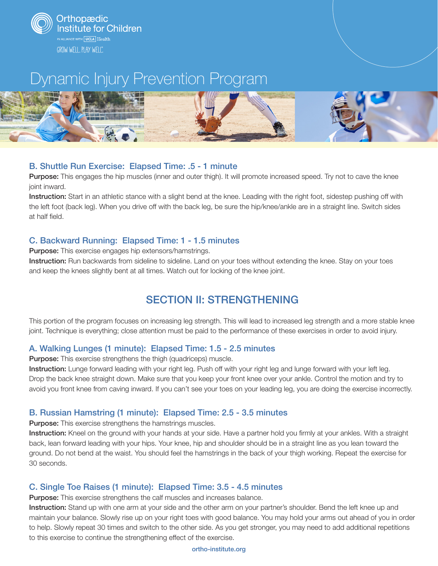

GROW WELL. PLAY WELL<sup>®</sup>.

# Dynamic Injury Prevention Program



#### B. Shuttle Run Exercise: Elapsed Time: .5 - 1 minute

Purpose: This engages the hip muscles (inner and outer thigh). It will promote increased speed. Try not to cave the knee joint inward.

Instruction: Start in an athletic stance with a slight bend at the knee. Leading with the right foot, sidestep pushing off with the left foot (back leg). When you drive off with the back leg, be sure the hip/knee/ankle are in a straight line. Switch sides at half field.

### C. Backward Running: Elapsed Time: 1 - 1.5 minutes

Purpose: This exercise engages hip extensors/hamstrings.

Instruction: Run backwards from sideline to sideline. Land on your toes without extending the knee. Stay on your toes and keep the knees slightly bent at all times. Watch out for locking of the knee joint.

# SECTION II: STRENGTHENING

This portion of the program focuses on increasing leg strength. This will lead to increased leg strength and a more stable knee joint. Technique is everything; close attention must be paid to the performance of these exercises in order to avoid injury.

#### A. Walking Lunges (1 minute): Elapsed Time: 1.5 - 2.5 minutes

Purpose: This exercise strengthens the thigh (quadriceps) muscle.

Instruction: Lunge forward leading with your right leg. Push off with your right leg and lunge forward with your left leg. Drop the back knee straight down. Make sure that you keep your front knee over your ankle. Control the motion and try to avoid you front knee from caving inward. If you can't see your toes on your leading leg, you are doing the exercise incorrectly.

### B. Russian Hamstring (1 minute): Elapsed Time: 2.5 - 3.5 minutes

Purpose: This exercise strengthens the hamstrings muscles.

Instruction: Kneel on the ground with your hands at your side. Have a partner hold you firmly at your ankles. With a straight back, lean forward leading with your hips. Your knee, hip and shoulder should be in a straight line as you lean toward the ground. Do not bend at the waist. You should feel the hamstrings in the back of your thigh working. Repeat the exercise for 30 seconds.

### C. Single Toe Raises (1 minute): Elapsed Time: 3.5 - 4.5 minutes

**Purpose:** This exercise strengthens the calf muscles and increases balance.

Instruction: Stand up with one arm at your side and the other arm on your partner's shoulder. Bend the left knee up and maintain your balance. Slowly rise up on your right toes with good balance. You may hold your arms out ahead of you in order to help. Slowly repeat 30 times and switch to the other side. As you get stronger, you may need to add additional repetitions to this exercise to continue the strengthening effect of the exercise.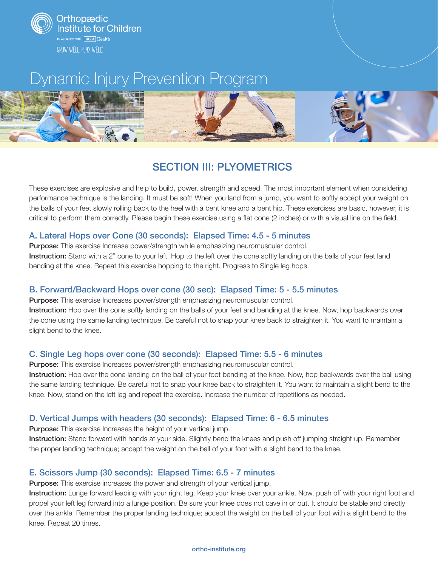



### SECTION III: PLYOMETRICS

These exercises are explosive and help to build, power, strength and speed. The most important element when considering performance technique is the landing. It must be soft! When you land from a jump, you want to softly accept your weight on the balls of your feet slowly rolling back to the heel with a bent knee and a bent hip. These exercises are basic, however, it is critical to perform them correctly. Please begin these exercise using a flat cone (2 inches) or with a visual line on the field.

#### A. Lateral Hops over Cone (30 seconds): Elapsed Time: 4.5 - 5 minutes

Purpose: This exercise Increase power/strength while emphasizing neuromuscular control. Instruction: Stand with a 2" cone to your left. Hop to the left over the cone softly landing on the balls of your feet land bending at the knee. Repeat this exercise hopping to the right. Progress to Single leg hops.

#### B. Forward/Backward Hops over cone (30 sec): Elapsed Time: 5 - 5.5 minutes

Purpose: This exercise Increases power/strength emphasizing neuromuscular control.

Instruction: Hop over the cone softly landing on the balls of your feet and bending at the knee. Now, hop backwards over the cone using the same landing technique. Be careful not to snap your knee back to straighten it. You want to maintain a slight bend to the knee.

#### C. Single Leg hops over cone (30 seconds): Elapsed Time: 5.5 - 6 minutes

Purpose: This exercise Increases power/strength emphasizing neuromuscular control.

Instruction: Hop over the cone landing on the ball of your foot bending at the knee. Now, hop backwards over the ball using the same landing technique. Be careful not to snap your knee back to straighten it. You want to maintain a slight bend to the knee. Now, stand on the left leg and repeat the exercise. Increase the number of repetitions as needed.

#### D. Vertical Jumps with headers (30 seconds): Elapsed Time: 6 - 6.5 minutes

**Purpose:** This exercise Increases the height of your vertical jump.

Instruction: Stand forward with hands at your side. Slightly bend the knees and push off jumping straight up. Remember the proper landing technique; accept the weight on the ball of your foot with a slight bend to the knee.

#### E. Scissors Jump (30 seconds): Elapsed Time: 6.5 - 7 minutes

Purpose: This exercise increases the power and strength of your vertical jump.

Instruction: Lunge forward leading with your right leg. Keep your knee over your ankle. Now, push off with your right foot and propel your left leg forward into a lunge position. Be sure your knee does not cave in or out. It should be stable and directly over the ankle. Remember the proper landing technique; accept the weight on the ball of your foot with a slight bend to the knee. Repeat 20 times.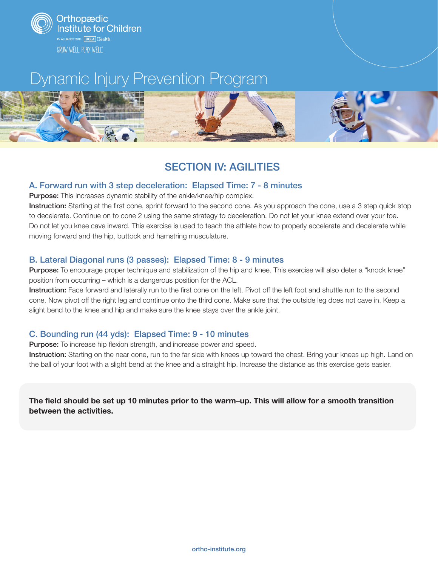



## SECTION IV: AGILITIES

#### A. Forward run with 3 step deceleration: Elapsed Time: 7 - 8 minutes

Purpose: This Increases dynamic stability of the ankle/knee/hip complex.

Instruction: Starting at the first cone, sprint forward to the second cone. As you approach the cone, use a 3 step quick stop to decelerate. Continue on to cone 2 using the same strategy to deceleration. Do not let your knee extend over your toe. Do not let you knee cave inward. This exercise is used to teach the athlete how to properly accelerate and decelerate while moving forward and the hip, buttock and hamstring musculature.

#### B. Lateral Diagonal runs (3 passes): Elapsed Time: 8 - 9 minutes

Purpose: To encourage proper technique and stabilization of the hip and knee. This exercise will also deter a "knock knee" position from occurring – which is a dangerous position for the ACL.

Instruction: Face forward and laterally run to the first cone on the left. Pivot off the left foot and shuttle run to the second cone. Now pivot off the right leg and continue onto the third cone. Make sure that the outside leg does not cave in. Keep a slight bend to the knee and hip and make sure the knee stays over the ankle joint.

### C. Bounding run (44 yds): Elapsed Time: 9 - 10 minutes

**Purpose:** To increase hip flexion strength, and increase power and speed.

Instruction: Starting on the near cone, run to the far side with knees up toward the chest. Bring your knees up high. Land on the ball of your foot with a slight bend at the knee and a straight hip. Increase the distance as this exercise gets easier.

The field should be set up 10 minutes prior to the warm–up. This will allow for a smooth transition between the activities.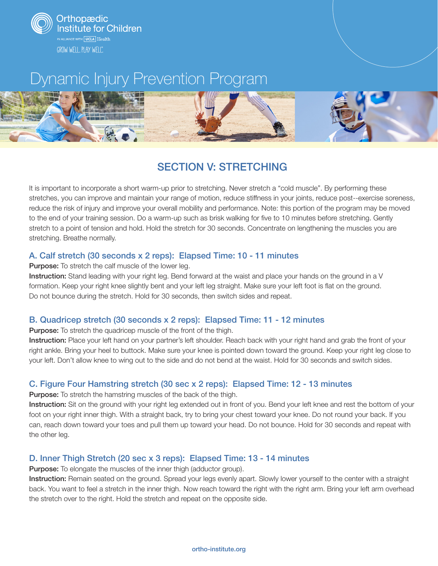



## SECTION V: STRETCHING

It is important to incorporate a short warm-up prior to stretching. Never stretch a "cold muscle". By performing these stretches, you can improve and maintain your range of motion, reduce stiffness in your joints, reduce post-‐exercise soreness, reduce the risk of injury and improve your overall mobility and performance. Note: this portion of the program may be moved to the end of your training session. Do a warm-up such as brisk walking for five to 10 minutes before stretching. Gently stretch to a point of tension and hold. Hold the stretch for 30 seconds. Concentrate on lengthening the muscles you are stretching. Breathe normally.

#### A. Calf stretch (30 seconds x 2 reps): Elapsed Time: 10 - 11 minutes

Purpose: To stretch the calf muscle of the lower leg.

Instruction: Stand leading with your right leg. Bend forward at the waist and place your hands on the ground in a V formation. Keep your right knee slightly bent and your left leg straight. Make sure your left foot is flat on the ground. Do not bounce during the stretch. Hold for 30 seconds, then switch sides and repeat.

#### B. Quadricep stretch (30 seconds x 2 reps): Elapsed Time: 11 - 12 minutes

Purpose: To stretch the quadricep muscle of the front of the thigh.

Instruction: Place your left hand on your partner's left shoulder. Reach back with your right hand and grab the front of your right ankle. Bring your heel to buttock. Make sure your knee is pointed down toward the ground. Keep your right leg close to your left. Don't allow knee to wing out to the side and do not bend at the waist. Hold for 30 seconds and switch sides.

### C. Figure Four Hamstring stretch (30 sec x 2 reps): Elapsed Time: 12 - 13 minutes

**Purpose:** To stretch the hamstring muscles of the back of the thigh.

Instruction: Sit on the ground with your right leg extended out in front of you. Bend your left knee and rest the bottom of your foot on your right inner thigh. With a straight back, try to bring your chest toward your knee. Do not round your back. If you can, reach down toward your toes and pull them up toward your head. Do not bounce. Hold for 30 seconds and repeat with the other leg.

#### D. Inner Thigh Stretch (20 sec x 3 reps): Elapsed Time: 13 - 14 minutes

**Purpose:** To elongate the muscles of the inner thigh (adductor group).

Instruction: Remain seated on the ground. Spread your legs evenly apart. Slowly lower yourself to the center with a straight back. You want to feel a stretch in the inner thigh. Now reach toward the right with the right arm. Bring your left arm overhead the stretch over to the right. Hold the stretch and repeat on the opposite side.